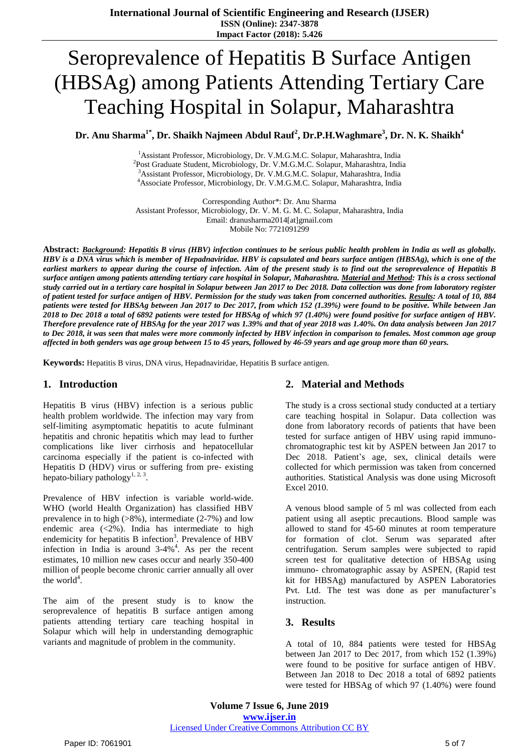# Seroprevalence of Hepatitis B Surface Antigen (HBSAg) among Patients Attending Tertiary Care Teaching Hospital in Solapur, Maharashtra

**Dr. Anu Sharma1\* , Dr. Shaikh Najmeen Abdul Rauf<sup>2</sup> , Dr.P.H.Waghmare<sup>3</sup> , Dr. N. K. Shaikh<sup>4</sup>**

<sup>1</sup> Assistant Professor, Microbiology, Dr. V.M.G.M.C. Solapur, Maharashtra, India <sup>2</sup>Post Graduate Student, Microbiology, Dr. V.M.G.M.C. Solapur, Maharashtra, India <sup>3</sup>Assistant Professor, Microbiology, Dr. V.M.G.M.C. Solapur, Maharashtra, India <sup>4</sup>Associate Professor, Microbiology, Dr. V.M.G.M.C. Solapur, Maharashtra, India

Corresponding Author\*: Dr. Anu Sharma Assistant Professor, Microbiology, Dr. V. M. G. M. C. Solapur, Maharashtra, India Email: dranusharma2014[at]gmail.com Mobile No: 7721091299

Abstract: Background: Hepatitis B virus (HBV) infection continues to be serious public health problem in India as well as globally. HBV is a DNA virus which is member of Hepadnaviridae. HBV is capsulated and bears surface antigen (HBSAg), which is one of the earliest markers to appear during the course of infection. Aim of the present study is to find out the seroprevalence of Hepatitis B surface antigen among patients attending tertiary care hospital in Solapur, Maharashtra. Material and Method: This is a cross sectional study carried out in a tertiary care hospital in Solapur between Jan 2017 to Dec 2018. Data collection was done from laboratory register of patient tested for surface antigen of HBV. Permission for the study was taken from concerned authorities. Results: A total of 10, 884 patients were tested for HBSAg between Jan 2017 to Dec 2017, from which 152 (1.39%) were found to be positive. While between Jan 2018 to Dec 2018 a total of 6892 patients were tested for HBSAg of which 97 (1.40%) were found positive for surface antigen of HBV. Therefore prevalence rate of HBSAg for the year 2017 was 1.39% and that of year 2018 was 1.40%. On data analysis between Jan 2017 to Dec 2018, it was seen that males were more commonly infected by HBV infection in comparison to females. Most common age group affected in both genders was age group between 15 to 45 years, followed by 46-59 years and age group more than 60 years.

**Keywords:** Hepatitis B virus, DNA virus, Hepadnaviridae, Hepatitis B surface antigen.

### **1. Introduction**

Hepatitis B virus (HBV) infection is a serious public health problem worldwide. The infection may vary from self-limiting asymptomatic hepatitis to acute fulminant hepatitis and chronic hepatitis which may lead to further complications like liver cirrhosis and hepatocellular carcinoma especially if the patient is co-infected with Hepatitis D (HDV) virus or suffering from pre- existing hepato-biliary pathology<sup>1, 2, 3</sup>.

Prevalence of HBV infection is variable world-wide. WHO (world Health Organization) has classified HBV prevalence in to high (>8%), intermediate (2-7%) and low endemic area  $\left( \langle 2\% \rangle \right)$ . India has intermediate to high endemicity for hepatitis B infection<sup>3</sup>. Prevalence of HBV infection in India is around  $3-4\%$ <sup>4</sup>. As per the recent estimates, 10 million new cases occur and nearly 350-400 million of people become chronic carrier annually all over the world<sup>4</sup>.

The aim of the present study is to know the seroprevalence of hepatitis B surface antigen among patients attending tertiary care teaching hospital in Solapur which will help in understanding demographic variants and magnitude of problem in the community.

# **2. Material and Methods**

The study is a cross sectional study conducted at a tertiary care teaching hospital in Solapur. Data collection was done from laboratory records of patients that have been tested for surface antigen of HBV using rapid immunochromatographic test kit by ASPEN between Jan 2017 to Dec 2018. Patient's age, sex, clinical details were collected for which permission was taken from concerned authorities. Statistical Analysis was done using Microsoft Excel 2010.

A venous blood sample of 5 ml was collected from each patient using all aseptic precautions. Blood sample was allowed to stand for 45-60 minutes at room temperature for formation of clot. Serum was separated after centrifugation. Serum samples were subjected to rapid screen test for qualitative detection of HBSAg using immuno- chromatographic assay by ASPEN, (Rapid test kit for HBSAg) manufactured by ASPEN Laboratories Pvt. Ltd. The test was done as per manufacturer's instruction.

### **3. Results**

A total of 10, 884 patients were tested for HBSAg between Jan 2017 to Dec 2017, from which 152 (1.39%) were found to be positive for surface antigen of HBV. Between Jan 2018 to Dec 2018 a total of 6892 patients were tested for HBSAg of which 97 (1.40%) were found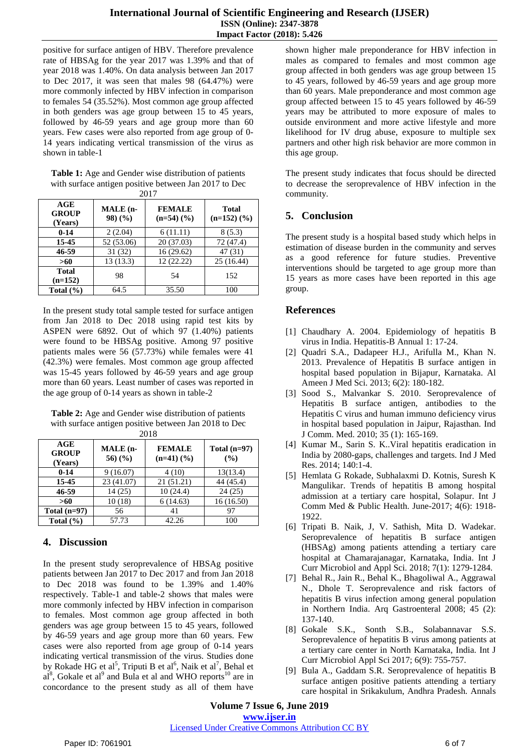positive for surface antigen of HBV. Therefore prevalence rate of HBSAg for the year 2017 was 1.39% and that of year 2018 was 1.40%. On data analysis between Jan 2017 to Dec 2017, it was seen that males 98 (64.47%) were more commonly infected by HBV infection in comparison to females 54 (35.52%). Most common age group affected in both genders was age group between 15 to 45 years, followed by 46-59 years and age group more than 60 years. Few cases were also reported from age group of 0- 14 years indicating vertical transmission of the virus as shown in table-1

**Table 1:** Age and Gender wise distribution of patients with surface antigen positive between Jan 2017 to Dec  $2017$ 

| 2011                           |                     |                                           |                                           |  |
|--------------------------------|---------------------|-------------------------------------------|-------------------------------------------|--|
| AGE<br><b>GROUP</b><br>(Years) | MALE (n-<br>98) (%) | <b>FEMALE</b><br>$(n=54)$ $(\frac{9}{6})$ | <b>Total</b><br>$(n=152)$ $(\frac{9}{6})$ |  |
| $0 - 14$                       | 2(2.04)             | 6(11.11)                                  | 8(5.3)                                    |  |
| 15-45                          | 52 (53.06)          | 20 (37.03)                                | 72 (47.4)                                 |  |
| 46-59                          | 31(32)              | 16(29.62)                                 | 47(31)                                    |  |
| >60                            | 13(13.3)            | 12(22.22)                                 | 25 (16.44)                                |  |
| <b>Total</b><br>$(n=152)$      | 98                  | 54                                        | 152                                       |  |
| Total $(\% )$                  | 64.5                | 35.50                                     | 100                                       |  |

In the present study total sample tested for surface antigen from Jan 2018 to Dec 2018 using rapid test kits by ASPEN were 6892. Out of which 97 (1.40%) patients were found to be HBSAg positive. Among 97 positive patients males were 56 (57.73%) while females were 41 (42.3%) were females. Most common age group affected was 15-45 years followed by 46-59 years and age group more than 60 years. Least number of cases was reported in the age group of 0-14 years as shown in table-2

**Table 2:** Age and Gender wise distribution of patients with surface antigen positive between Jan 2018 to Dec 2018

| AGE<br><b>GROUP</b><br>(Years) | MALE (n-<br>56) $(\%$ | <b>FEMALE</b><br>$(n=41)$ $(\frac{9}{6})$ | Total $(n=97)$<br>(%) |
|--------------------------------|-----------------------|-------------------------------------------|-----------------------|
| $0 - 14$                       | 9(16.07)              | 4(10)                                     | 13(13.4)              |
| 15-45                          | 23 (41.07)            | 21(51.21)                                 | 44 (45.4)             |
| 46-59                          | 14 (25)               | 10(24.4)                                  | 24(25)                |
| >60                            | 10(18)                | 6(14.63)                                  | 16(16.50)             |
| Total $(n=97)$                 | 56                    | 41                                        | 97                    |
| Total $(\% )$                  | 57.73                 | 42.26                                     | 100                   |

# **4. Discussion**

In the present study seroprevalence of HBSAg positive patients between Jan 2017 to Dec 2017 and from Jan 2018 to Dec 2018 was found to be 1.39% and 1.40% respectively. Table-1 and table-2 shows that males were more commonly infected by HBV infection in comparison to females. Most common age group affected in both genders was age group between 15 to 45 years, followed by 46-59 years and age group more than 60 years. Few cases were also reported from age group of 0-14 years indicating vertical transmission of the virus. Studies done by Rokade HG et al<sup>5</sup>, Triputi B et al<sup>6</sup>, Naik et al<sup>7</sup>, Behal et  $aI<sup>8</sup>$ , Gokale et al<sup>9</sup> and Bula et al and WHO reports<sup>10</sup> are in concordance to the present study as all of them have

shown higher male preponderance for HBV infection in males as compared to females and most common age group affected in both genders was age group between 15 to 45 years, followed by 46-59 years and age group more than 60 years. Male preponderance and most common age group affected between 15 to 45 years followed by 46-59 years may be attributed to more exposure of males to outside environment and more active lifestyle and more likelihood for IV drug abuse, exposure to multiple sex partners and other high risk behavior are more common in this age group.

The present study indicates that focus should be directed to decrease the seroprevalence of HBV infection in the community.

## **5. Conclusion**

The present study is a hospital based study which helps in estimation of disease burden in the community and serves as a good reference for future studies. Preventive interventions should be targeted to age group more than 15 years as more cases have been reported in this age group.

## **References**

- [1] Chaudhary A. 2004. Epidemiology of hepatitis B virus in India. Hepatitis-B Annual 1: 17-24.
- [2] Quadri S.A., Dadapeer H.J., Arifulla M., Khan N. 2013. Prevalence of Hepatitis B surface antigen in hospital based population in Bijapur, Karnataka. Al Ameen J Med Sci. 2013; 6(2): 180-182.
- [3] Sood S., Malvankar S. 2010. Seroprevalence of Hepatitis B surface antigen, antibodies to the Hepatitis C virus and human immuno deficiency virus in hospital based population in Jaipur, Rajasthan. Ind J Comm. Med. 2010; 35 (1): 165-169.
- [4] Kumar M., Sarin S. K..Viral hepatitis eradication in India by 2080-gaps, challenges and targets. Ind J Med Res. 2014; 140:1-4.
- [5] Hemlata G Rokade, Subhalaxmi D. Kotnis, Suresh K Mangulikar. Trends of hepatitis B among hospital admission at a tertiary care hospital, Solapur. Int J Comm Med & Public Health. June-2017; 4(6): 1918- 1922.
- [6] Tripati B. Naik, J, V. Sathish, Mita D. Wadekar. Seroprevalence of hepatitis B surface antigen (HBSAg) among patients attending a tertiary care hospital at Chamarajanagar, Karnataka, India. Int J Curr Microbiol and Appl Sci. 2018; 7(1): 1279-1284.
- [7] Behal R., Jain R., Behal K., Bhagoliwal A., Aggrawal N., Dhole T. Seroprevalence and risk factors of hepatitis B virus infection among general population in Northern India. Arq Gastroenteral 2008; 45 (2): 137-140.
- [8] Gokale S.K., Sonth S.B., Solabannavar S.S. Seroprevalence of hepatitis B virus among patients at a tertiary care center in North Karnataka, India. Int J Curr Microbiol Appl Sci 2017; 6(9): 755-757.
- [9] Bula A., Gaddam S.R. Seroprevalence of hepatitis B surface antigen positive patients attending a tertiary care hospital in Srikakulum, Andhra Pradesh. Annals

**Volume 7 Issue 6, June 2019 www.ijser.in**

#### Licensed Under Creative Commons Attribution CC BY